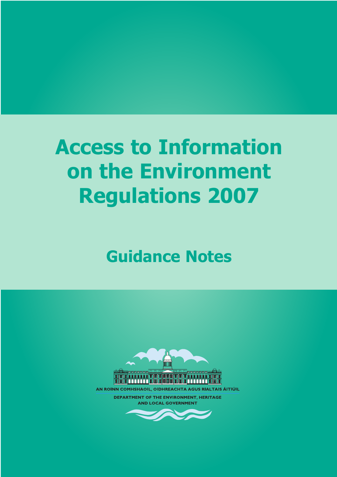# **Access to Information on the Environment Regulations 2007**

## **Guidance Notes**



AN ROINN COMHSHAOIL, OIDHREACHTA AGUS RIALTAIS ÁITIÚIL **DEPARTMENT OF THE ENVIRONMENT, HERITAGE** 

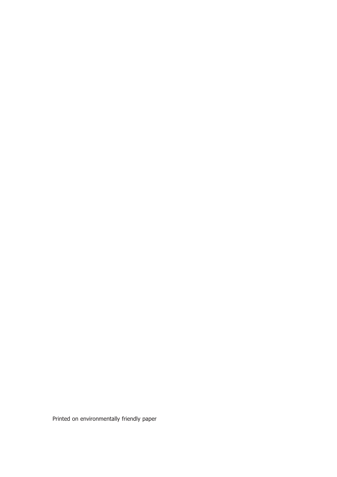Printed on environmentally friendly paper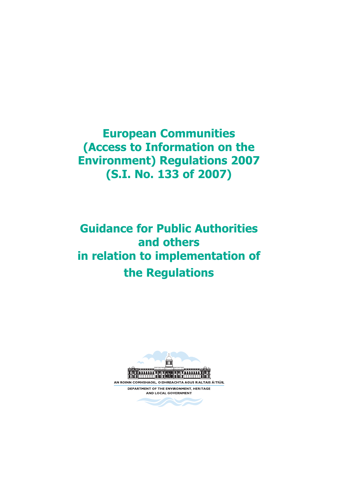**European Communities (Access to Information on the Environment) Regulations 2007 (S.I. No. 133 of 2007)**

## **Guidance for Public Authorities and others in relation to implementation of the Regulations**

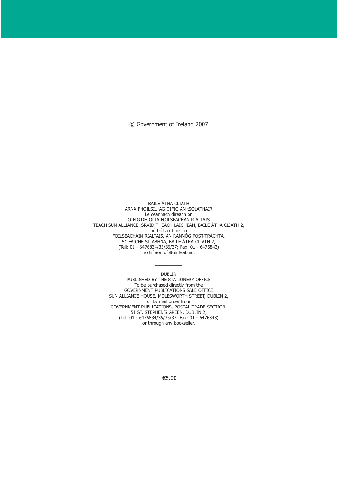© Government of Ireland 2007

BAILE ÁTHA CLIATH ARNA FHOILSIÚ AG OIFIG AN tSOLÁTHAIR Le ceannach díreach ón OIFIG DHÍOLTA FOILSEACHÁN RIALTAIS TEACH SUN ALLIANCE, SRÁID THEACH LAIGHEAN, BAILE ÁTHA CLIATH 2, nó tríd an bpost ó FOILSEACHÁIN RIALTAIS, AN RANNÓG POST-TRÁCHTA, 51 FAICHE STIABHNA, BAILE ÁTHA CLIATH 2, (Teil: 01 - 6476834/35/36/37; Fax: 01 - 6476843) nó trí aon díoltóir leabhar.

> $\overline{\phantom{a}}$ DUBLIN

PUBLISHED BY THE STATIONERY OFFICE To be purchased directly from the GOVERNMENT PUBLICATIONS SALE OFFICE SUN ALLIANCE HOUSE, MOLESWORTH STREET, DUBLIN 2, or by mail order from GOVERNMENT PUBLICATIONS, POSTAL TRADE SECTION, 51 ST. STEPHEN'S GREEN, DUBLIN 2, (Tel: 01 - 6476834/35/36/37; Fax: 01 - 6476843) or through any bookseller.

 $\overline{\phantom{a}}$ 

€5.00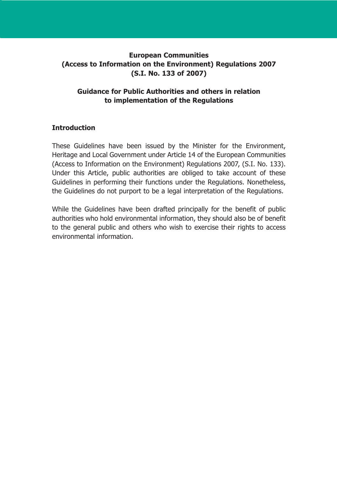#### **European Communities (Access to Information on the Environment) Regulations 2007 (S.I. No. 133 of 2007)**

#### **Guidance for Public Authorities and others in relation to implementation of the Regulations**

#### **Introduction**

These Guidelines have been issued by the Minister for the Environment, Heritage and Local Government under Article 14 of the European Communities (Access to Information on the Environment) Regulations 2007, (S.I. No. 133). Under this Article, public authorities are obliged to take account of these Guidelines in performing their functions under the Regulations. Nonetheless, the Guidelines do not purport to be a legal interpretation of the Regulations.

While the Guidelines have been drafted principally for the benefit of public authorities who hold environmental information, they should also be of benefit to the general public and others who wish to exercise their rights to access environmental information.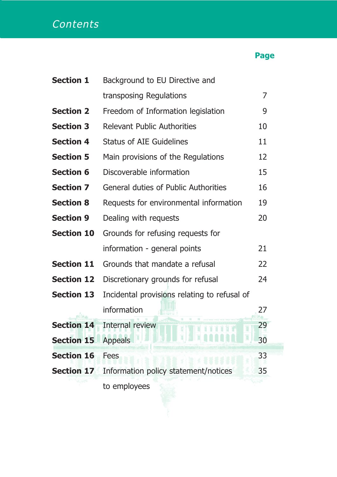## **Contents**

### **Page**

| <b>Section 1</b>  | Background to EU Directive and               |    |
|-------------------|----------------------------------------------|----|
|                   | transposing Regulations                      | 7  |
| <b>Section 2</b>  | Freedom of Information legislation           | 9  |
| <b>Section 3</b>  | <b>Relevant Public Authorities</b>           | 10 |
| <b>Section 4</b>  | <b>Status of AIE Guidelines</b>              | 11 |
| <b>Section 5</b>  | Main provisions of the Regulations           | 12 |
| <b>Section 6</b>  | Discoverable information                     | 15 |
| <b>Section 7</b>  | <b>General duties of Public Authorities</b>  | 16 |
| <b>Section 8</b>  | Requests for environmental information       | 19 |
| <b>Section 9</b>  | Dealing with requests                        | 20 |
| <b>Section 10</b> | Grounds for refusing requests for            |    |
|                   | information - general points                 | 21 |
| <b>Section 11</b> | Grounds that mandate a refusal               | 22 |
| <b>Section 12</b> | Discretionary grounds for refusal            | 24 |
| <b>Section 13</b> | Incidental provisions relating to refusal of |    |
|                   | information                                  | 27 |
| <b>Section 14</b> | Internal review                              | 29 |
| <b>Section 15</b> | <b>Appeals</b>                               | 30 |
| <b>Section 16</b> | <b>Fees</b>                                  | 33 |
| <b>Section 17</b> | Information policy statement/notices         | 35 |
|                   | to employees                                 |    |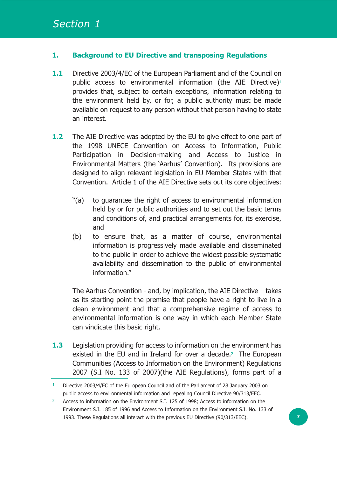#### **1. Background to EU Directive and transposing Regulations**

- **1.1** Directive 2003/4/EC of the European Parliament and of the Council on public access to environmental information (the AIE Directive)<sup>1</sup> provides that, subject to certain exceptions, information relating to the environment held by, or for, a public authority must be made available on request to any person without that person having to state an interest.
- **1.2** The AIE Directive was adopted by the EU to give effect to one part of the 1998 UNECE Convention on Access to Information, Public Participation in Decision-making and Access to Justice in Environmental Matters (the 'Aarhus' Convention). Its provisions are designed to align relevant legislation in EU Member States with that Convention. Article 1 of the AIE Directive sets out its core objectives:
	- "(a) to guarantee the right of access to environmental information held by or for public authorities and to set out the basic terms and conditions of, and practical arrangements for, its exercise, and
	- (b) to ensure that, as a matter of course, environmental information is progressively made available and disseminated to the public in order to achieve the widest possible systematic availability and dissemination to the public of environmental information."

The Aarhus Convention - and, by implication, the AIE Directive – takes as its starting point the premise that people have a right to live in a clean environment and that a comprehensive regime of access to environmental information is one way in which each Member State can vindicate this basic right.

**1.3** Legislation providing for access to information on the environment has existed in the EU and in Ireland for over a decade.<sup>2</sup> The European Communities (Access to Information on the Environment) Regulations 2007 (S.I No. 133 of 2007)(the AIE Regulations), forms part of a

<sup>1</sup> Directive 2003/4/EC of the European Council and of the Parliament of 28 January 2003 on public access to environmental information and repealing Council Directive 90/313/EEC.

<sup>&</sup>lt;sup>2</sup> Access to information on the Environment S.I. 125 of 1998; Access to information on the Environment S.I. 185 of 1996 and Access to Information on the Environment S.I. No. 133 of 1993. These Regulations all interact with the previous EU Directive (90/313/EEC).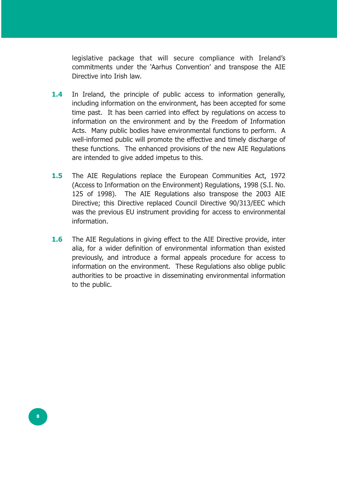legislative package that will secure compliance with Ireland's commitments under the 'Aarhus Convention' and transpose the AIE Directive into Irish law.

- **1.4** In Ireland, the principle of public access to information generally, including information on the environment, has been accepted for some time past. It has been carried into effect by regulations on access to information on the environment and by the Freedom of Information Acts. Many public bodies have environmental functions to perform. A well-informed public will promote the effective and timely discharge of these functions. The enhanced provisions of the new AIE Regulations are intended to give added impetus to this.
- **1.5** The AIE Regulations replace the European Communities Act, 1972 (Access to Information on the Environment) Regulations, 1998 (S.I. No. 125 of 1998). The AIE Regulations also transpose the 2003 AIE Directive; this Directive replaced Council Directive 90/313/EEC which was the previous EU instrument providing for access to environmental information.
- **1.6** The AIE Regulations in giving effect to the AIE Directive provide, inter alia, for a wider definition of environmental information than existed previously, and introduce a formal appeals procedure for access to information on the environment. These Regulations also oblige public authorities to be proactive in disseminating environmental information to the public.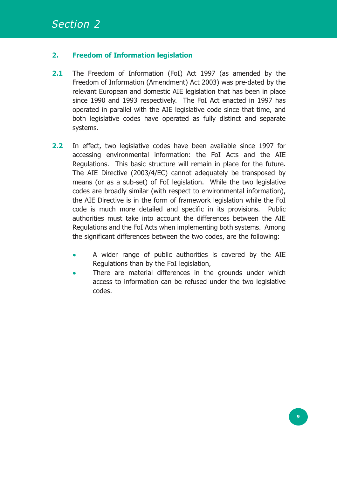#### **2. Freedom of Information legislation**

- **2.1** The Freedom of Information (FoI) Act 1997 (as amended by the Freedom of Information (Amendment) Act 2003) was pre-dated by the relevant European and domestic AIE legislation that has been in place since 1990 and 1993 respectively. The FoI Act enacted in 1997 has operated in parallel with the AIE legislative code since that time, and both legislative codes have operated as fully distinct and separate systems.
- **2.2** In effect, two legislative codes have been available since 1997 for accessing environmental information: the FoI Acts and the AIE Regulations. This basic structure will remain in place for the future. The AIE Directive (2003/4/EC) cannot adequately be transposed by means (or as a sub-set) of FoI legislation. While the two legislative codes are broadly similar (with respect to environmental information), the AIE Directive is in the form of framework legislation while the FoI code is much more detailed and specific in its provisions. Public authorities must take into account the differences between the AIE Regulations and the FoI Acts when implementing both systems. Among the significant differences between the two codes, are the following:
	- **•** A wider range of public authorities is covered by the AIE Regulations than by the FoI legislation,
	- **•** There are material differences in the grounds under which access to information can be refused under the two legislative codes.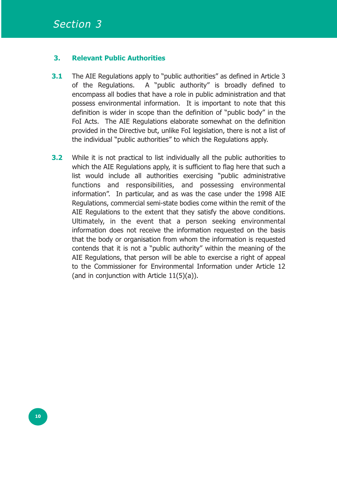#### **3. Relevant Public Authorities**

- **3.1** The AIE Regulations apply to "public authorities" as defined in Article 3 of the Regulations. A "public authority" is broadly defined to encompass all bodies that have a role in public administration and that possess environmental information. It is important to note that this definition is wider in scope than the definition of "public body" in the FoI Acts. The AIE Regulations elaborate somewhat on the definition provided in the Directive but, unlike FoI legislation, there is not a list of the individual "public authorities" to which the Regulations apply.
- **3.2** While it is not practical to list individually all the public authorities to which the AIE Regulations apply, it is sufficient to flag here that such a list would include all authorities exercising "public administrative functions and responsibilities, and possessing environmental information". In particular, and as was the case under the 1998 AIE Regulations, commercial semi-state bodies come within the remit of the AIE Regulations to the extent that they satisfy the above conditions. Ultimately, in the event that a person seeking environmental information does not receive the information requested on the basis that the body or organisation from whom the information is requested contends that it is not a "public authority" within the meaning of the AIE Regulations, that person will be able to exercise a right of appeal to the Commissioner for Environmental Information under Article 12 (and in conjunction with Article 11(5)(a)).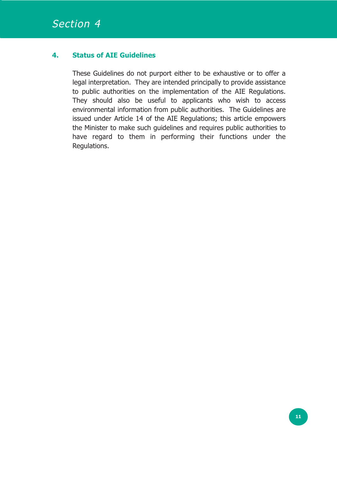#### **4. Status of AIE Guidelines**

These Guidelines do not purport either to be exhaustive or to offer a legal interpretation. They are intended principally to provide assistance to public authorities on the implementation of the AIE Regulations. They should also be useful to applicants who wish to access environmental information from public authorities. The Guidelines are issued under Article 14 of the AIE Regulations; this article empowers the Minister to make such guidelines and requires public authorities to have regard to them in performing their functions under the Regulations.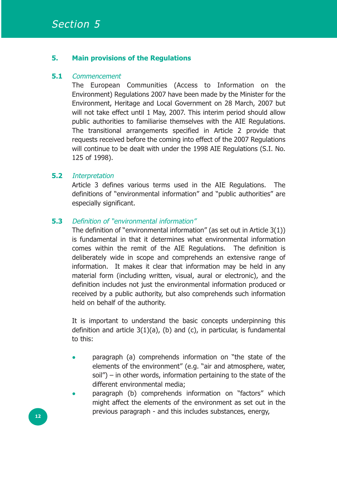#### **5. Main provisions of the Regulations**

#### **5.1** Commencement

The European Communities (Access to Information on the Environment) Regulations 2007 have been made by the Minister for the Environment, Heritage and Local Government on 28 March, 2007 but will not take effect until 1 May, 2007. This interim period should allow public authorities to familiarise themselves with the AIE Regulations. The transitional arrangements specified in Article 2 provide that requests received before the coming into effect of the 2007 Regulations will continue to be dealt with under the 1998 AIE Regulations (S.I. No. 125 of 1998).

#### **5.2** Interpretation

Article 3 defines various terms used in the AIE Regulations. The definitions of "environmental information" and "public authorities" are especially significant.

#### **5.3** Definition of "environmental information"

The definition of "environmental information" (as set out in Article 3(1)) is fundamental in that it determines what environmental information comes within the remit of the AIE Regulations. The definition is deliberately wide in scope and comprehends an extensive range of information. It makes it clear that information may be held in any material form (including written, visual, aural or electronic), and the definition includes not just the environmental information produced or received by a public authority, but also comprehends such information held on behalf of the authority.

It is important to understand the basic concepts underpinning this definition and article  $3(1)(a)$ , (b) and (c), in particular, is fundamental to this:

- **•** paragraph (a) comprehends information on "the state of the elements of the environment" (e.g. "air and atmosphere, water, soil") – in other words, information pertaining to the state of the different environmental media;
- **•** paragraph (b) comprehends information on "factors" which might affect the elements of the environment as set out in the previous paragraph - and this includes substances, energy, **<sup>12</sup>**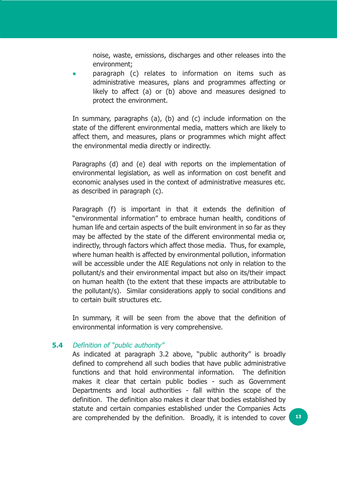noise, waste, emissions, discharges and other releases into the environment;

**•** paragraph (c) relates to information on items such as administrative measures, plans and programmes affecting or likely to affect (a) or (b) above and measures designed to protect the environment.

In summary, paragraphs (a), (b) and (c) include information on the state of the different environmental media, matters which are likely to affect them, and measures, plans or programmes which might affect the environmental media directly or indirectly.

Paragraphs (d) and (e) deal with reports on the implementation of environmental legislation, as well as information on cost benefit and economic analyses used in the context of administrative measures etc. as described in paragraph (c).

Paragraph (f) is important in that it extends the definition of "environmental information" to embrace human health, conditions of human life and certain aspects of the built environment in so far as they may be affected by the state of the different environmental media or, indirectly, through factors which affect those media. Thus, for example, where human health is affected by environmental pollution, information will be accessible under the AIE Regulations not only in relation to the pollutant/s and their environmental impact but also on its/their impact on human health (to the extent that these impacts are attributable to the pollutant/s). Similar considerations apply to social conditions and to certain built structures etc.

In summary, it will be seen from the above that the definition of environmental information is very comprehensive.

#### **5.4** Definition of "public authority"

As indicated at paragraph 3.2 above, "public authority" is broadly defined to comprehend all such bodies that have public administrative functions and that hold environmental information. The definition makes it clear that certain public bodies - such as Government Departments and local authorities - fall within the scope of the definition. The definition also makes it clear that bodies established by statute and certain companies established under the Companies Acts are comprehended by the definition. Broadly, it is intended to cover **<sup>13</sup>**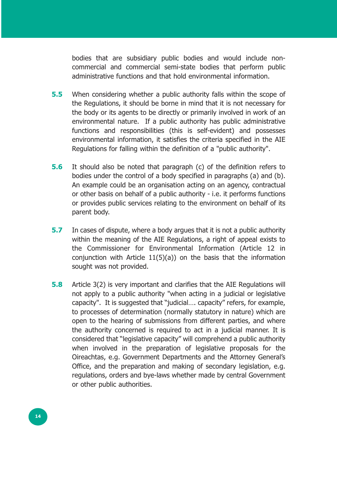bodies that are subsidiary public bodies and would include noncommercial and commercial semi-state bodies that perform public administrative functions and that hold environmental information.

- **5.5** When considering whether a public authority falls within the scope of the Regulations, it should be borne in mind that it is not necessary for the body or its agents to be directly or primarily involved in work of an environmental nature. If a public authority has public administrative functions and responsibilities (this is self-evident) and possesses environmental information, it satisfies the criteria specified in the AIE Regulations for falling within the definition of a "public authority".
- **5.6** It should also be noted that paragraph (c) of the definition refers to bodies under the control of a body specified in paragraphs (a) and (b). An example could be an organisation acting on an agency, contractual or other basis on behalf of a public authority - i.e. it performs functions or provides public services relating to the environment on behalf of its parent body.
- **5.7** In cases of dispute, where a body argues that it is not a public authority within the meaning of the AIE Regulations, a right of appeal exists to the Commissioner for Environmental Information (Article 12 in conjunction with Article 11(5)(a)) on the basis that the information sought was not provided.
- **5.8** Article 3(2) is very important and clarifies that the AIE Regulations will not apply to a public authority "when acting in a judicial or legislative capacity". It is suggested that "judicial…. capacity" refers, for example, to processes of determination (normally statutory in nature) which are open to the hearing of submissions from different parties, and where the authority concerned is required to act in a judicial manner. It is considered that "legislative capacity" will comprehend a public authority when involved in the preparation of legislative proposals for the Oireachtas, e.g. Government Departments and the Attorney General's Office, and the preparation and making of secondary legislation, e.g. regulations, orders and bye-laws whether made by central Government or other public authorities.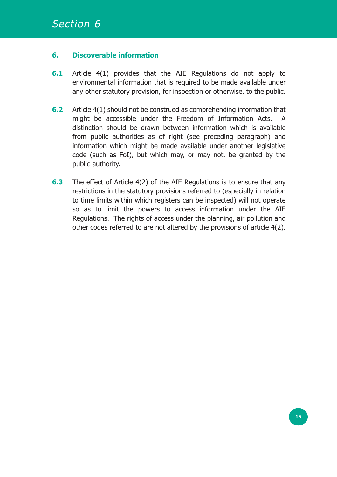#### **6. Discoverable information**

- **6.1** Article 4(1) provides that the AIE Regulations do not apply to environmental information that is required to be made available under any other statutory provision, for inspection or otherwise, to the public.
- **6.2** Article 4(1) should not be construed as comprehending information that might be accessible under the Freedom of Information Acts. A distinction should be drawn between information which is available from public authorities as of right (see preceding paragraph) and information which might be made available under another legislative code (such as FoI), but which may, or may not, be granted by the public authority.
- **6.3** The effect of Article 4(2) of the AIE Regulations is to ensure that any restrictions in the statutory provisions referred to (especially in relation to time limits within which registers can be inspected) will not operate so as to limit the powers to access information under the AIE Regulations. The rights of access under the planning, air pollution and other codes referred to are not altered by the provisions of article 4(2).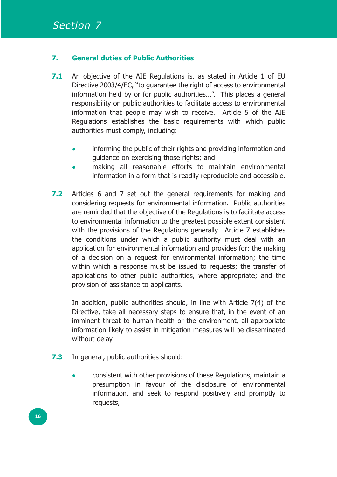#### **7. General duties of Public Authorities**

- **7.1** An objective of the AIE Regulations is, as stated in Article 1 of EU Directive 2003/4/EC, "to guarantee the right of access to environmental information held by or for public authorities...". This places a general responsibility on public authorities to facilitate access to environmental information that people may wish to receive. Article 5 of the AIE Regulations establishes the basic requirements with which public authorities must comply, including:
	- **•** informing the public of their rights and providing information and guidance on exercising those rights; and
	- **•** making all reasonable efforts to maintain environmental information in a form that is readily reproducible and accessible.
- **7.2** Articles 6 and 7 set out the general requirements for making and considering requests for environmental information. Public authorities are reminded that the objective of the Regulations is to facilitate access to environmental information to the greatest possible extent consistent with the provisions of the Regulations generally. Article 7 establishes the conditions under which a public authority must deal with an application for environmental information and provides for: the making of a decision on a request for environmental information; the time within which a response must be issued to requests; the transfer of applications to other public authorities, where appropriate; and the provision of assistance to applicants.

In addition, public authorities should, in line with Article 7(4) of the Directive, take all necessary steps to ensure that, in the event of an imminent threat to human health or the environment, all appropriate information likely to assist in mitigation measures will be disseminated without delay.

- **7.3** In general, public authorities should:
	- **•** consistent with other provisions of these Regulations, maintain a presumption in favour of the disclosure of environmental information, and seek to respond positively and promptly to requests,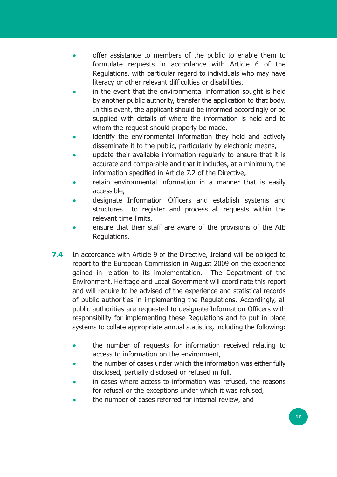- **•** offer assistance to members of the public to enable them to formulate requests in accordance with Article 6 of the Regulations, with particular regard to individuals who may have literacy or other relevant difficulties or disabilities,
- **•** in the event that the environmental information sought is held by another public authority, transfer the application to that body. In this event, the applicant should be informed accordingly or be supplied with details of where the information is held and to whom the request should properly be made,
- **•** identify the environmental information they hold and actively disseminate it to the public, particularly by electronic means,
- **•** update their available information regularly to ensure that it is accurate and comparable and that it includes, at a minimum, the information specified in Article 7.2 of the Directive,
- **•** retain environmental information in a manner that is easily accessible,
- **•** designate Information Officers and establish systems and structures to register and process all requests within the relevant time limits,
- **•** ensure that their staff are aware of the provisions of the AIE Regulations.
- **7.4** In accordance with Article 9 of the Directive, Ireland will be obliged to report to the European Commission in August 2009 on the experience gained in relation to its implementation. The Department of the Environment, Heritage and Local Government will coordinate this report and will require to be advised of the experience and statistical records of public authorities in implementing the Regulations. Accordingly, all public authorities are requested to designate Information Officers with responsibility for implementing these Regulations and to put in place systems to collate appropriate annual statistics, including the following:
	- **•** the number of requests for information received relating to access to information on the environment,
	- **•** the number of cases under which the information was either fully disclosed, partially disclosed or refused in full,
	- **•** in cases where access to information was refused, the reasons for refusal or the exceptions under which it was refused,
	- **•** the number of cases referred for internal review, and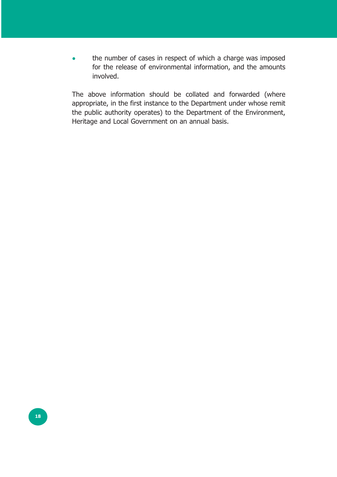**•** the number of cases in respect of which a charge was imposed for the release of environmental information, and the amounts involved.

The above information should be collated and forwarded (where appropriate, in the first instance to the Department under whose remit the public authority operates) to the Department of the Environment, Heritage and Local Government on an annual basis.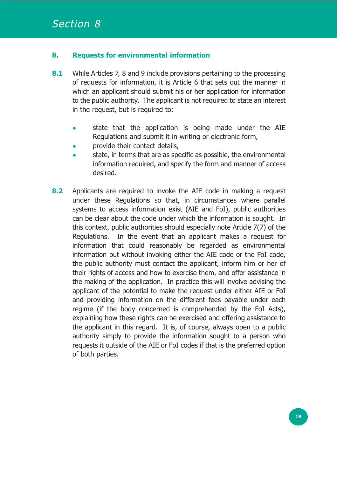#### **8. Requests for environmental information**

- **8.1** While Articles 7, 8 and 9 include provisions pertaining to the processing of requests for information, it is Article 6 that sets out the manner in which an applicant should submit his or her application for information to the public authority. The applicant is not required to state an interest in the request, but is required to:
	- **•** state that the application is being made under the AIE Regulations and submit it in writing or electronic form,
	- **•** provide their contact details,
	- **•** state, in terms that are as specific as possible, the environmental information required, and specify the form and manner of access desired.
- **8.2** Applicants are required to invoke the AIE code in making a request under these Regulations so that, in circumstances where parallel systems to access information exist (AIE and FoI), public authorities can be clear about the code under which the information is sought. In this context, public authorities should especially note Article 7(7) of the Regulations. In the event that an applicant makes a request for information that could reasonably be regarded as environmental information but without invoking either the AIE code or the FoI code, the public authority must contact the applicant, inform him or her of their rights of access and how to exercise them, and offer assistance in the making of the application. In practice this will involve advising the applicant of the potential to make the request under either AIE or FoI and providing information on the different fees payable under each regime (if the body concerned is comprehended by the FoI Acts), explaining how these rights can be exercised and offering assistance to the applicant in this regard. It is, of course, always open to a public authority simply to provide the information sought to a person who requests it outside of the AIE or FoI codes if that is the preferred option of both parties.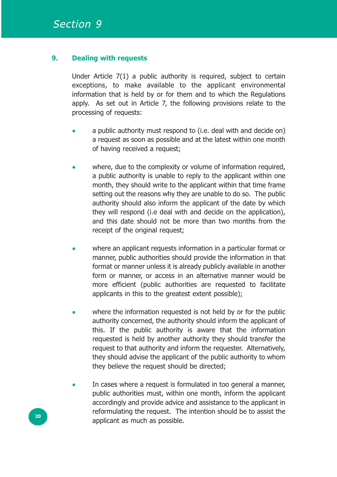#### **9. Dealing with requests**

Under Article 7(1) a public authority is required, subject to certain exceptions, to make available to the applicant environmental information that is held by or for them and to which the Regulations apply. As set out in Article 7, the following provisions relate to the processing of requests:

- **•** a public authority must respond to (i.e. deal with and decide on) a request as soon as possible and at the latest within one month of having received a request;
- **•** where, due to the complexity or volume of information required, a public authority is unable to reply to the applicant within one month, they should write to the applicant within that time frame setting out the reasons why they are unable to do so. The public authority should also inform the applicant of the date by which they will respond (i.e deal with and decide on the application), and this date should not be more than two months from the receipt of the original request;
- **•** where an applicant requests information in a particular format or manner, public authorities should provide the information in that format or manner unless it is already publicly available in another form or manner, or access in an alternative manner would be more efficient (public authorities are requested to facilitate applicants in this to the greatest extent possible);
- **•** where the information requested is not held by or for the public authority concerned, the authority should inform the applicant of this. If the public authority is aware that the information requested is held by another authority they should transfer the request to that authority and inform the requester. Alternatively, they should advise the applicant of the public authority to whom they believe the request should be directed;
- **•** In cases where a request is formulated in too general a manner, public authorities must, within one month, inform the applicant accordingly and provide advice and assistance to the applicant in reformulating the request. The intention should be to assist the applicant as much as possible.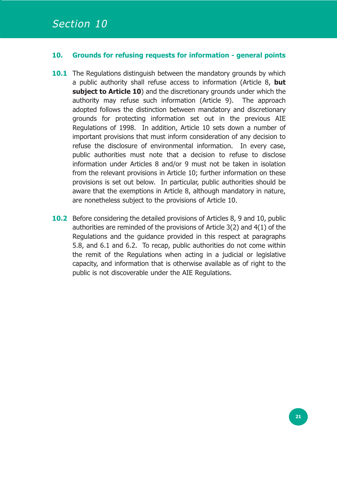#### **10. Grounds for refusing requests for information - general points**

- **10.1** The Regulations distinguish between the mandatory grounds by which a public authority shall refuse access to information (Article 8, **but subject to Article 10**) and the discretionary grounds under which the authority may refuse such information (Article 9). The approach adopted follows the distinction between mandatory and discretionary grounds for protecting information set out in the previous AIE Regulations of 1998. In addition, Article 10 sets down a number of important provisions that must inform consideration of any decision to refuse the disclosure of environmental information. In every case, public authorities must note that a decision to refuse to disclose information under Articles 8 and/or 9 must not be taken in isolation from the relevant provisions in Article 10; further information on these provisions is set out below. In particular, public authorities should be aware that the exemptions in Article 8, although mandatory in nature, are nonetheless subject to the provisions of Article 10.
- **10.2** Before considering the detailed provisions of Articles 8, 9 and 10, public authorities are reminded of the provisions of Article 3(2) and 4(1) of the Regulations and the guidance provided in this respect at paragraphs 5.8, and 6.1 and 6.2. To recap, public authorities do not come within the remit of the Regulations when acting in a judicial or legislative capacity, and information that is otherwise available as of right to the public is not discoverable under the AIE Regulations.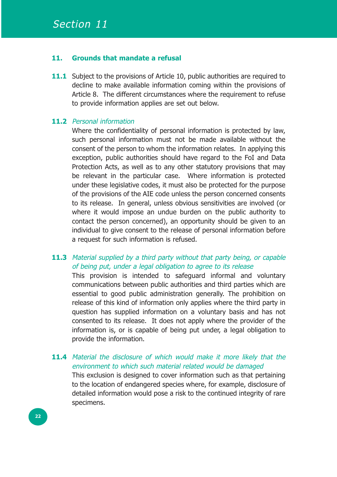#### **11. Grounds that mandate a refusal**

**11.1** Subject to the provisions of Article 10, public authorities are required to decline to make available information coming within the provisions of Article 8. The different circumstances where the requirement to refuse to provide information applies are set out below.

#### **11.2** Personal information

Where the confidentiality of personal information is protected by law, such personal information must not be made available without the consent of the person to whom the information relates. In applying this exception, public authorities should have regard to the FoI and Data Protection Acts, as well as to any other statutory provisions that may be relevant in the particular case. Where information is protected under these legislative codes, it must also be protected for the purpose of the provisions of the AIE code unless the person concerned consents to its release. In general, unless obvious sensitivities are involved (or where it would impose an undue burden on the public authority to contact the person concerned), an opportunity should be given to an individual to give consent to the release of personal information before a request for such information is refused.

#### **11.3** Material supplied by a third party without that party being, or capable of being put, under a legal obligation to agree to its release

This provision is intended to safeguard informal and voluntary communications between public authorities and third parties which are essential to good public administration generally. The prohibition on release of this kind of information only applies where the third party in question has supplied information on a voluntary basis and has not consented to its release. It does not apply where the provider of the information is, or is capable of being put under, a legal obligation to provide the information.

#### 11.4 Material the disclosure of which would make it more likely that the environment to which such material related would be damaged This exclusion is designed to cover information such as that pertaining to the location of endangered species where, for example, disclosure of detailed information would pose a risk to the continued integrity of rare specimens.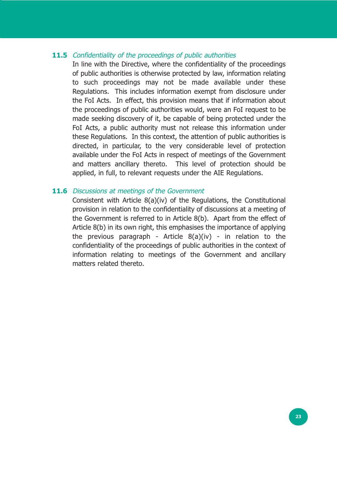#### **11.5** Confidentiality of the proceedings of public authorities

In line with the Directive, where the confidentiality of the proceedings of public authorities is otherwise protected by law, information relating to such proceedings may not be made available under these Regulations. This includes information exempt from disclosure under the FoI Acts. In effect, this provision means that if information about the proceedings of public authorities would, were an FoI request to be made seeking discovery of it, be capable of being protected under the FoI Acts, a public authority must not release this information under these Regulations. In this context, the attention of public authorities is directed, in particular, to the very considerable level of protection available under the FoI Acts in respect of meetings of the Government and matters ancillary thereto. This level of protection should be applied, in full, to relevant requests under the AIE Regulations.

#### **11.6** Discussions at meetings of the Government

Consistent with Article 8(a)(iv) of the Regulations, the Constitutional provision in relation to the confidentiality of discussions at a meeting of the Government is referred to in Article 8(b). Apart from the effect of Article 8(b) in its own right, this emphasises the importance of applying the previous paragraph - Article  $8(a)(iv)$  - in relation to the confidentiality of the proceedings of public authorities in the context of information relating to meetings of the Government and ancillary matters related thereto.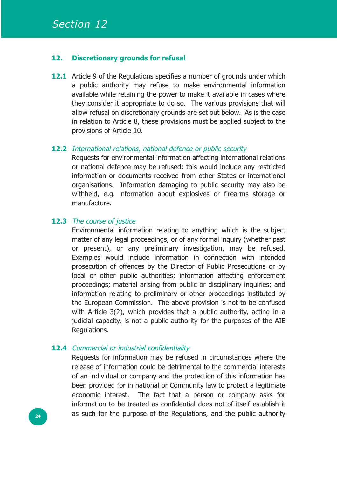#### **12. Discretionary grounds for refusal**

**12.1** Article 9 of the Regulations specifies a number of grounds under which a public authority may refuse to make environmental information available while retaining the power to make it available in cases where they consider it appropriate to do so. The various provisions that will allow refusal on discretionary grounds are set out below. As is the case in relation to Article 8, these provisions must be applied subject to the provisions of Article 10.

#### **12.2** International relations, national defence or public security

Requests for environmental information affecting international relations or national defence may be refused; this would include any restricted information or documents received from other States or international organisations. Information damaging to public security may also be withheld, e.g. information about explosives or firearms storage or manufacture.

#### 12.3 The course of justice

Environmental information relating to anything which is the subject matter of any legal proceedings, or of any formal inquiry (whether past or present), or any preliminary investigation, may be refused. Examples would include information in connection with intended prosecution of offences by the Director of Public Prosecutions or by local or other public authorities; information affecting enforcement proceedings; material arising from public or disciplinary inquiries; and information relating to preliminary or other proceedings instituted by the European Commission. The above provision is not to be confused with Article 3(2), which provides that a public authority, acting in a judicial capacity, is not a public authority for the purposes of the AIE Regulations.

#### 12.4 Commercial or industrial confidentiality

Requests for information may be refused in circumstances where the release of information could be detrimental to the commercial interests of an individual or company and the protection of this information has been provided for in national or Community law to protect a legitimate economic interest. The fact that a person or company asks for information to be treated as confidential does not of itself establish it as such for the purpose of the Regulations, and the public authority **<sup>24</sup>**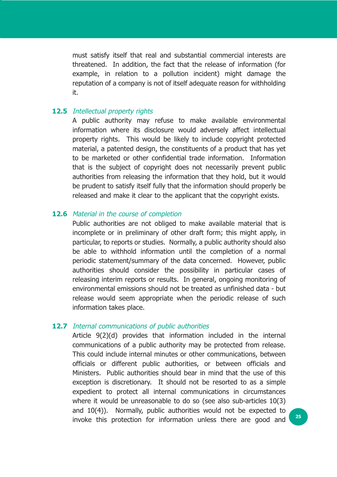must satisfy itself that real and substantial commercial interests are threatened. In addition, the fact that the release of information (for example, in relation to a pollution incident) might damage the reputation of a company is not of itself adequate reason for withholding it.

#### **12.5** Intellectual property rights

A public authority may refuse to make available environmental information where its disclosure would adversely affect intellectual property rights. This would be likely to include copyright protected material, a patented design, the constituents of a product that has yet to be marketed or other confidential trade information. Information that is the subject of copyright does not necessarily prevent public authorities from releasing the information that they hold, but it would be prudent to satisfy itself fully that the information should properly be released and make it clear to the applicant that the copyright exists.

#### **12.6** Material in the course of completion

Public authorities are not obliged to make available material that is incomplete or in preliminary of other draft form; this might apply, in particular, to reports or studies. Normally, a public authority should also be able to withhold information until the completion of a normal periodic statement/summary of the data concerned. However, public authorities should consider the possibility in particular cases of releasing interim reports or results. In general, ongoing monitoring of environmental emissions should not be treated as unfinished data - but release would seem appropriate when the periodic release of such information takes place.

#### **12.7** Internal communications of public authorities

Article 9(2)(d) provides that information included in the internal communications of a public authority may be protected from release. This could include internal minutes or other communications, between officials or different public authorities, or between officials and Ministers. Public authorities should bear in mind that the use of this exception is discretionary. It should not be resorted to as a simple expedient to protect all internal communications in circumstances where it would be unreasonable to do so (see also sub-articles 10(3) and 10(4)). Normally, public authorities would not be expected to invoke this protection for information unless there are good and **<sup>25</sup>**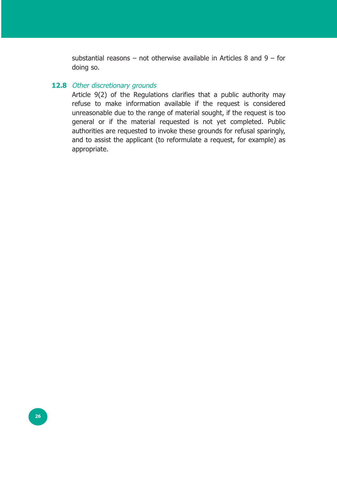substantial reasons – not otherwise available in Articles 8 and 9 – for doing so.

#### 12.8 Other discretionary grounds

Article 9(2) of the Regulations clarifies that a public authority may refuse to make information available if the request is considered unreasonable due to the range of material sought, if the request is too general or if the material requested is not yet completed. Public authorities are requested to invoke these grounds for refusal sparingly, and to assist the applicant (to reformulate a request, for example) as appropriate.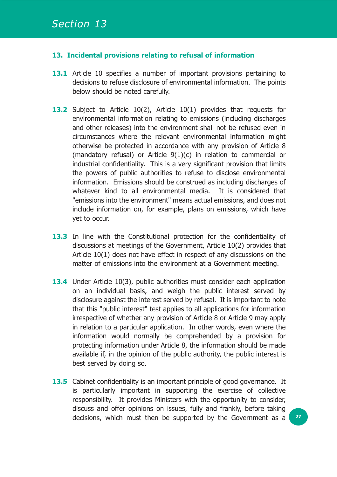#### **13. Incidental provisions relating to refusal of information**

- **13.1** Article 10 specifies a number of important provisions pertaining to decisions to refuse disclosure of environmental information. The points below should be noted carefully.
- 13.2 Subject to Article 10(2), Article 10(1) provides that requests for environmental information relating to emissions (including discharges and other releases) into the environment shall not be refused even in circumstances where the relevant environmental information might otherwise be protected in accordance with any provision of Article 8 (mandatory refusal) or Article 9(1)(c) in relation to commercial or industrial confidentiality. This is a very significant provision that limits the powers of public authorities to refuse to disclose environmental information. Emissions should be construed as including discharges of whatever kind to all environmental media. It is considered that "emissions into the environment" means actual emissions, and does not include information on, for example, plans on emissions, which have yet to occur.
- 13.3 In line with the Constitutional protection for the confidentiality of discussions at meetings of the Government, Article 10(2) provides that Article 10(1) does not have effect in respect of any discussions on the matter of emissions into the environment at a Government meeting.
- **13.4** Under Article 10(3), public authorities must consider each application on an individual basis, and weigh the public interest served by disclosure against the interest served by refusal. It is important to note that this "public interest" test applies to all applications for information irrespective of whether any provision of Article 8 or Article 9 may apply in relation to a particular application. In other words, even where the information would normally be comprehended by a provision for protecting information under Article 8, the information should be made available if, in the opinion of the public authority, the public interest is best served by doing so.
- **13.5** Cabinet confidentiality is an important principle of good governance. It is particularly important in supporting the exercise of collective responsibility. It provides Ministers with the opportunity to consider, discuss and offer opinions on issues, fully and frankly, before taking decisions, which must then be supported by the Government as a **<sup>27</sup>**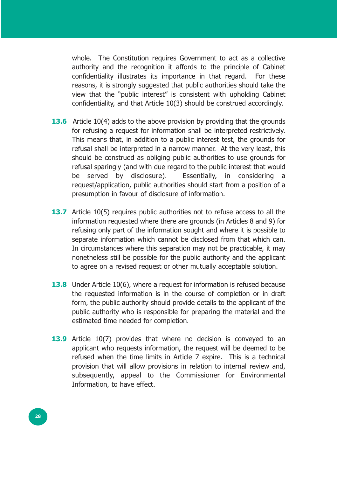whole. The Constitution requires Government to act as a collective authority and the recognition it affords to the principle of Cabinet confidentiality illustrates its importance in that regard. For these reasons, it is strongly suggested that public authorities should take the view that the "public interest" is consistent with upholding Cabinet confidentiality, and that Article 10(3) should be construed accordingly.

- **13.6** Article 10(4) adds to the above provision by providing that the grounds for refusing a request for information shall be interpreted restrictively. This means that, in addition to a public interest test, the grounds for refusal shall be interpreted in a narrow manner. At the very least, this should be construed as obliging public authorities to use grounds for refusal sparingly (and with due regard to the public interest that would be served by disclosure). Essentially, in considering a request/application, public authorities should start from a position of a presumption in favour of disclosure of information.
- **13.7** Article 10(5) requires public authorities not to refuse access to all the information requested where there are grounds (in Articles 8 and 9) for refusing only part of the information sought and where it is possible to separate information which cannot be disclosed from that which can. In circumstances where this separation may not be practicable, it may nonetheless still be possible for the public authority and the applicant to agree on a revised request or other mutually acceptable solution.
- **13.8** Under Article 10(6), where a request for information is refused because the requested information is in the course of completion or in draft form, the public authority should provide details to the applicant of the public authority who is responsible for preparing the material and the estimated time needed for completion.
- **13.9** Article 10(7) provides that where no decision is conveyed to an applicant who requests information, the request will be deemed to be refused when the time limits in Article 7 expire. This is a technical provision that will allow provisions in relation to internal review and, subsequently, appeal to the Commissioner for Environmental Information, to have effect.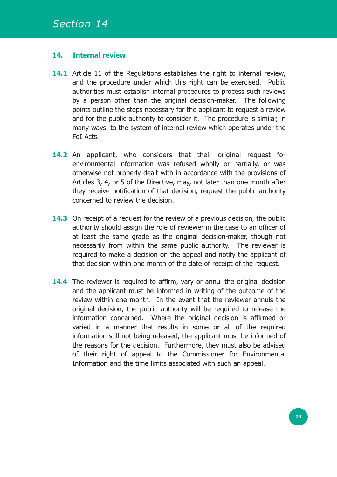#### **14. Internal review**

- **14.1** Article 11 of the Regulations establishes the right to internal review, and the procedure under which this right can be exercised. Public authorities must establish internal procedures to process such reviews by a person other than the original decision-maker. The following points outline the steps necessary for the applicant to request a review and for the public authority to consider it. The procedure is similar, in many ways, to the system of internal review which operates under the FoI Acts.
- 14.2 An applicant, who considers that their original request for environmental information was refused wholly or partially, or was otherwise not properly dealt with in accordance with the provisions of Articles 3, 4, or 5 of the Directive, may, not later than one month after they receive notification of that decision, request the public authority concerned to review the decision.
- **14.3** On receipt of a request for the review of a previous decision, the public authority should assign the role of reviewer in the case to an officer of at least the same grade as the original decision-maker, though not necessarily from within the same public authority. The reviewer is required to make a decision on the appeal and notify the applicant of that decision within one month of the date of receipt of the request.
- **14.4** The reviewer is required to affirm, vary or annul the original decision and the applicant must be informed in writing of the outcome of the review within one month. In the event that the reviewer annuls the original decision, the public authority will be required to release the information concerned. Where the original decision is affirmed or varied in a manner that results in some or all of the required information still not being released, the applicant must be informed of the reasons for the decision. Furthermore, they must also be advised of their right of appeal to the Commissioner for Environmental Information and the time limits associated with such an appeal.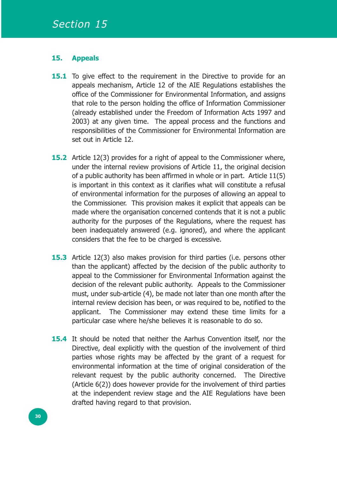#### **15. Appeals**

- **15.1** To give effect to the requirement in the Directive to provide for an appeals mechanism, Article 12 of the AIE Regulations establishes the office of the Commissioner for Environmental Information, and assigns that role to the person holding the office of Information Commissioner (already established under the Freedom of Information Acts 1997 and 2003) at any given time. The appeal process and the functions and responsibilities of the Commissioner for Environmental Information are set out in Article 12.
- **15.2** Article 12(3) provides for a right of appeal to the Commissioner where, under the internal review provisions of Article 11, the original decision of a public authority has been affirmed in whole or in part. Article 11(5) is important in this context as it clarifies what will constitute a refusal of environmental information for the purposes of allowing an appeal to the Commissioner. This provision makes it explicit that appeals can be made where the organisation concerned contends that it is not a public authority for the purposes of the Regulations, where the request has been inadequately answered (e.g. ignored), and where the applicant considers that the fee to be charged is excessive.
- **15.3** Article 12(3) also makes provision for third parties (i.e. persons other than the applicant) affected by the decision of the public authority to appeal to the Commissioner for Environmental Information against the decision of the relevant public authority. Appeals to the Commissioner must, under sub-article (4), be made not later than one month after the internal review decision has been, or was required to be, notified to the applicant. The Commissioner may extend these time limits for a particular case where he/she believes it is reasonable to do so.
- **15.4** It should be noted that neither the Aarhus Convention itself, nor the Directive, deal explicitly with the question of the involvement of third parties whose rights may be affected by the grant of a request for environmental information at the time of original consideration of the relevant request by the public authority concerned. The Directive (Article 6(2)) does however provide for the involvement of third parties at the independent review stage and the AIE Regulations have been drafted having regard to that provision.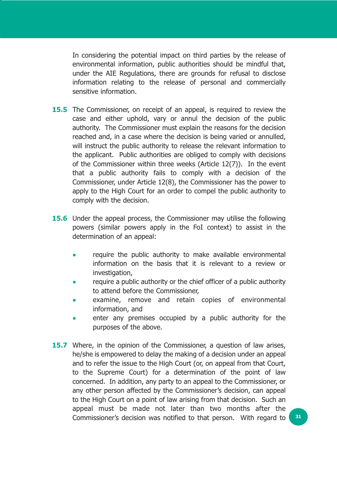In considering the potential impact on third parties by the release of environmental information, public authorities should be mindful that, under the AIE Regulations, there are grounds for refusal to disclose information relating to the release of personal and commercially sensitive information.

- **15.5** The Commissioner, on receipt of an appeal, is required to review the case and either uphold, vary or annul the decision of the public authority. The Commissioner must explain the reasons for the decision reached and, in a case where the decision is being varied or annulled, will instruct the public authority to release the relevant information to the applicant. Public authorities are obliged to comply with decisions of the Commissioner within three weeks (Article 12(7)). In the event that a public authority fails to comply with a decision of the Commissioner, under Article 12(8), the Commissioner has the power to apply to the High Court for an order to compel the public authority to comply with the decision.
- **15.6** Under the appeal process, the Commissioner may utilise the following powers (similar powers apply in the FoI context) to assist in the determination of an appeal:
	- **•** require the public authority to make available environmental information on the basis that it is relevant to a review or investigation,
	- **•** require a public authority or the chief officer of a public authority to attend before the Commissioner,
	- **•** examine, remove and retain copies of environmental information, and
	- **•** enter any premises occupied by a public authority for the purposes of the above.
- **15.7** Where, in the opinion of the Commissioner, a question of law arises, he/she is empowered to delay the making of a decision under an appeal and to refer the issue to the High Court (or, on appeal from that Court, to the Supreme Court) for a determination of the point of law concerned. In addition, any party to an appeal to the Commissioner, or any other person affected by the Commissioner's decision, can appeal to the High Court on a point of law arising from that decision. Such an appeal must be made not later than two months after the Commissioner's decision was notified to that person. With regard to **<sup>31</sup>**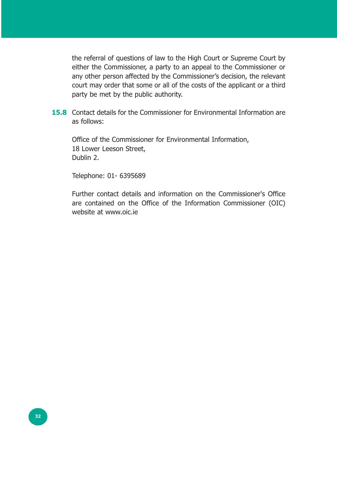the referral of questions of law to the High Court or Supreme Court by either the Commissioner, a party to an appeal to the Commissioner or any other person affected by the Commissioner's decision, the relevant court may order that some or all of the costs of the applicant or a third party be met by the public authority.

**15.8** Contact details for the Commissioner for Environmental Information are as follows:

Office of the Commissioner for Environmental Information, 18 Lower Leeson Street, Dublin 2.

Telephone: 01- 6395689

Further contact details and information on the Commissioner's Office are contained on the Office of the Information Commissioner (OIC) website at www.oic.ie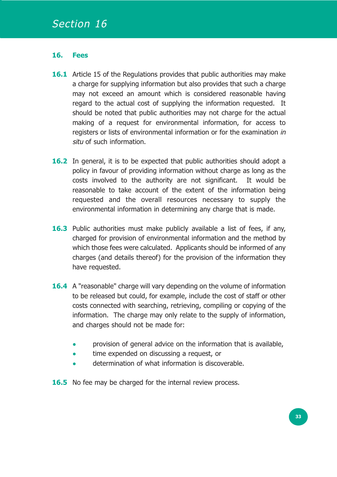#### **16. Fees**

- **16.1** Article 15 of the Regulations provides that public authorities may make a charge for supplying information but also provides that such a charge may not exceed an amount which is considered reasonable having regard to the actual cost of supplying the information requested. It should be noted that public authorities may not charge for the actual making of a request for environmental information, for access to registers or lists of environmental information or for the examination in situ of such information.
- **16.2** In general, it is to be expected that public authorities should adopt a policy in favour of providing information without charge as long as the costs involved to the authority are not significant. It would be reasonable to take account of the extent of the information being requested and the overall resources necessary to supply the environmental information in determining any charge that is made.
- **16.3** Public authorities must make publicly available a list of fees, if any, charged for provision of environmental information and the method by which those fees were calculated. Applicants should be informed of any charges (and details thereof) for the provision of the information they have requested.
- **16.4** A "reasonable" charge will vary depending on the volume of information to be released but could, for example, include the cost of staff or other costs connected with searching, retrieving, compiling or copying of the information. The charge may only relate to the supply of information, and charges should not be made for:
	- **•** provision of general advice on the information that is available,
	- **•** time expended on discussing a request, or
	- **•** determination of what information is discoverable.
- **16.5** No fee may be charged for the internal review process.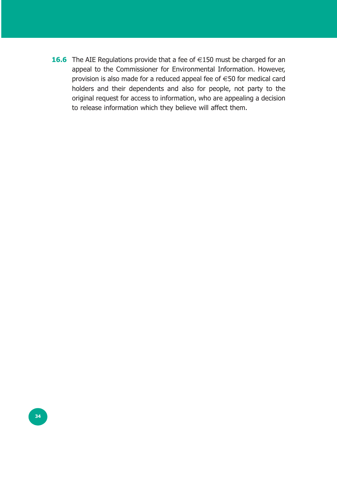**16.6** The AIE Regulations provide that a fee of €150 must be charged for an appeal to the Commissioner for Environmental Information. However, provision is also made for a reduced appeal fee of €50 for medical card holders and their dependents and also for people, not party to the original request for access to information, who are appealing a decision to release information which they believe will affect them.